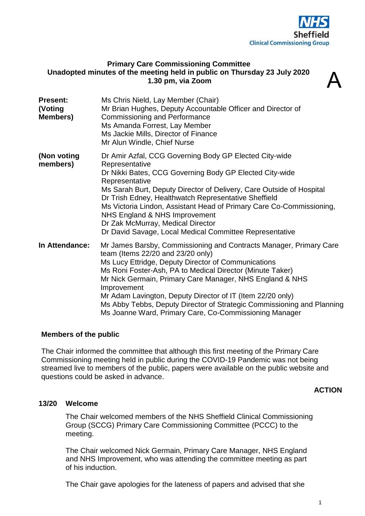

# **Primary Care Commissioning Committee Unadopted minutes of the meeting held in public on Thursday 23 July 2020 1.30 pm, via Zoom**

| Unadopted minutes of the meeting neid in public on Thursday 23 July 2020<br>1.30 pm, via Zoom |                                                                                                                                                                                                                                                                                                                                                                                                                                                                                                          |
|-----------------------------------------------------------------------------------------------|----------------------------------------------------------------------------------------------------------------------------------------------------------------------------------------------------------------------------------------------------------------------------------------------------------------------------------------------------------------------------------------------------------------------------------------------------------------------------------------------------------|
| <b>Present:</b><br>(Voting<br><b>Members)</b>                                                 | Ms Chris Nield, Lay Member (Chair)<br>Mr Brian Hughes, Deputy Accountable Officer and Director of<br><b>Commissioning and Performance</b><br>Ms Amanda Forrest, Lay Member<br>Ms Jackie Mills, Director of Finance<br>Mr Alun Windle, Chief Nurse                                                                                                                                                                                                                                                        |
| (Non voting<br>members)                                                                       | Dr Amir Azfal, CCG Governing Body GP Elected City-wide<br>Representative<br>Dr Nikki Bates, CCG Governing Body GP Elected City-wide<br>Representative<br>Ms Sarah Burt, Deputy Director of Delivery, Care Outside of Hospital<br>Dr Trish Edney, Healthwatch Representative Sheffield<br>Ms Victoria Lindon, Assistant Head of Primary Care Co-Commissioning,<br>NHS England & NHS Improvement<br>Dr Zak McMurray, Medical Director<br>Dr David Savage, Local Medical Committee Representative           |
| In Attendance:                                                                                | Mr James Barsby, Commissioning and Contracts Manager, Primary Care<br>team (Items 22/20 and 23/20 only)<br>Ms Lucy Ettridge, Deputy Director of Communications<br>Ms Roni Foster-Ash, PA to Medical Director (Minute Taker)<br>Mr Nick Germain, Primary Care Manager, NHS England & NHS<br>Improvement<br>Mr Adam Lavington, Deputy Director of IT (Item 22/20 only)<br>Ms Abby Tebbs, Deputy Director of Strategic Commissioning and Planning<br>Ms Joanne Ward, Primary Care, Co-Commissioning Manager |

# **Members of the public**

The Chair informed the committee that although this first meeting of the Primary Care Commissioning meeting held in public during the COVID-19 Pandemic was not being streamed live to members of the public, papers were available on the public website and questions could be asked in advance.

# **ACTION**

#### **13/20 Welcome**

The Chair welcomed members of the NHS Sheffield Clinical Commissioning Group (SCCG) Primary Care Commissioning Committee (PCCC) to the meeting.

The Chair welcomed Nick Germain, Primary Care Manager, NHS England and NHS Improvement, who was attending the committee meeting as part of his induction.

The Chair gave apologies for the lateness of papers and advised that she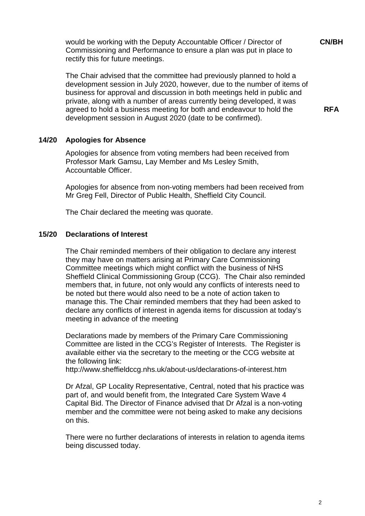would be working with the Deputy Accountable Officer / Director of Commissioning and Performance to ensure a plan was put in place to rectify this for future meetings.

The Chair advised that the committee had previously planned to hold a development session in July 2020, however, due to the number of items of business for approval and discussion in both meetings held in public and private, along with a number of areas currently being developed, it was agreed to hold a business meeting for both and endeavour to hold the development session in August 2020 (date to be confirmed).

**14/20 Apologies for Absence**

Apologies for absence from voting members had been received from Professor Mark Gamsu, Lay Member and Ms Lesley Smith, Accountable Officer.

Apologies for absence from non-voting members had been received from Mr Greg Fell, Director of Public Health, Sheffield City Council.

The Chair declared the meeting was quorate.

#### **15/20 Declarations of Interest**

The Chair reminded members of their obligation to declare any interest they may have on matters arising at Primary Care Commissioning Committee meetings which might conflict with the business of NHS Sheffield Clinical Commissioning Group (CCG). The Chair also reminded members that, in future, not only would any conflicts of interests need to be noted but there would also need to be a note of action taken to manage this. The Chair reminded members that they had been asked to declare any conflicts of interest in agenda items for discussion at today's meeting in advance of the meeting

Declarations made by members of the Primary Care Commissioning Committee are listed in the CCG's Register of Interests. The Register is available either via the secretary to the meeting or the CCG website at the following link:

http://www.sheffieldccg.nhs.uk/about-us/declarations-of-interest.htm

Dr Afzal, GP Locality Representative, Central, noted that his practice was part of, and would benefit from, the Integrated Care System Wave 4 Capital Bid. The Director of Finance advised that Dr Afzal is a non-voting member and the committee were not being asked to make any decisions on this.

There were no further declarations of interests in relation to agenda items being discussed today.

**RFA**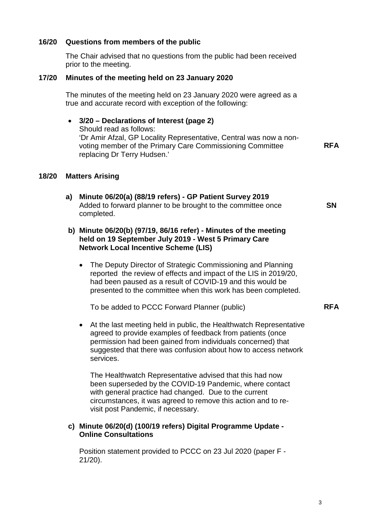# **16/20 Questions from members of the public**

The Chair advised that no questions from the public had been received prior to the meeting.

# **17/20 Minutes of the meeting held on 23 January 2020**

The minutes of the meeting held on 23 January 2020 were agreed as a true and accurate record with exception of the following:

# • **3/20 – Declarations of Interest (page 2)** Should read as follows: 'Dr Amir Afzal, GP Locality Representative, Central was now a nonvoting member of the Primary Care Commissioning Committee replacing Dr Terry Hudsen.'

# **18/20 Matters Arising**

**a) Minute 06/20(a) (88/19 refers) - GP Patient Survey 2019** Added to forward planner to be brought to the committee once completed.

# **b) Minute 06/20(b) (97/19, 86/16 refer) - Minutes of the meeting held on 19 September July 2019 - West 5 Primary Care Network Local Incentive Scheme (LIS)**

• The Deputy Director of Strategic Commissioning and Planning reported the review of effects and impact of the LIS in 2019/20, had been paused as a result of COVID-19 and this would be presented to the committee when this work has been completed.

To be added to PCCC Forward Planner (public)

• At the last meeting held in public, the Healthwatch Representative agreed to provide examples of feedback from patients (once permission had been gained from individuals concerned) that suggested that there was confusion about how to access network services.

The Healthwatch Representative advised that this had now been superseded by the COVID-19 Pandemic, where contact with general practice had changed. Due to the current circumstances, it was agreed to remove this action and to revisit post Pandemic, if necessary.

# **c) Minute 06/20(d) (100/19 refers) Digital Programme Update - Online Consultations**

Position statement provided to PCCC on 23 Jul 2020 (paper F - 21/20).

**SN**

**RFA**

**RFA**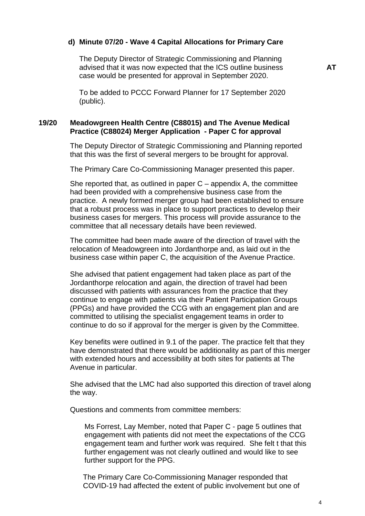#### **d) Minute 07/20 - Wave 4 Capital Allocations for Primary Care**

The Deputy Director of Strategic Commissioning and Planning advised that it was now expected that the ICS outline business case would be presented for approval in September 2020.

To be added to PCCC Forward Planner for 17 September 2020 (public).

# **19/20 Meadowgreen Health Centre (C88015) and The Avenue Medical Practice (C88024) Merger Application - Paper C for approval**

The Deputy Director of Strategic Commissioning and Planning reported that this was the first of several mergers to be brought for approval.

The Primary Care Co-Commissioning Manager presented this paper.

She reported that, as outlined in paper  $C$  – appendix A, the committee had been provided with a comprehensive business case from the practice. A newly formed merger group had been established to ensure that a robust process was in place to support practices to develop their business cases for mergers. This process will provide assurance to the committee that all necessary details have been reviewed.

The committee had been made aware of the direction of travel with the relocation of Meadowgreen into Jordanthorpe and, as laid out in the business case within paper C, the acquisition of the Avenue Practice.

She advised that patient engagement had taken place as part of the Jordanthorpe relocation and again, the direction of travel had been discussed with patients with assurances from the practice that they continue to engage with patients via their Patient Participation Groups (PPGs) and have provided the CCG with an engagement plan and are committed to utilising the specialist engagement teams in order to continue to do so if approval for the merger is given by the Committee.

Key benefits were outlined in 9.1 of the paper. The practice felt that they have demonstrated that there would be additionality as part of this merger with extended hours and accessibility at both sites for patients at The Avenue in particular.

She advised that the LMC had also supported this direction of travel along the way.

Questions and comments from committee members:

Ms Forrest, Lay Member, noted that Paper C - page 5 outlines that engagement with patients did not meet the expectations of the CCG engagement team and further work was required. She felt t that this further engagement was not clearly outlined and would like to see further support for the PPG.

The Primary Care Co-Commissioning Manager responded that COVID-19 had affected the extent of public involvement but one of **AT**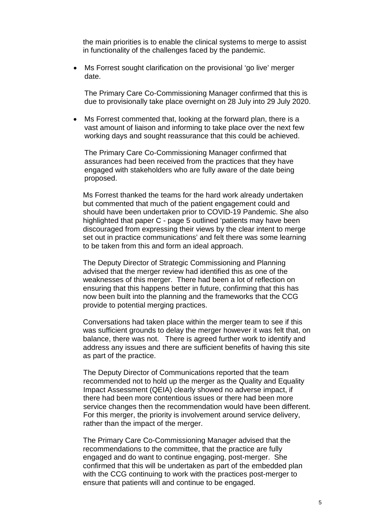the main priorities is to enable the clinical systems to merge to assist in functionality of the challenges faced by the pandemic.

• Ms Forrest sought clarification on the provisional 'go live' merger date.

The Primary Care Co-Commissioning Manager confirmed that this is due to provisionally take place overnight on 28 July into 29 July 2020.

• Ms Forrest commented that, looking at the forward plan, there is a vast amount of liaison and informing to take place over the next few working days and sought reassurance that this could be achieved.

The Primary Care Co-Commissioning Manager confirmed that assurances had been received from the practices that they have engaged with stakeholders who are fully aware of the date being proposed.

Ms Forrest thanked the teams for the hard work already undertaken but commented that much of the patient engagement could and should have been undertaken prior to COVID-19 Pandemic. She also highlighted that paper C - page 5 outlined 'patients may have been discouraged from expressing their views by the clear intent to merge set out in practice communications' and felt there was some learning to be taken from this and form an ideal approach.

The Deputy Director of Strategic Commissioning and Planning advised that the merger review had identified this as one of the weaknesses of this merger. There had been a lot of reflection on ensuring that this happens better in future, confirming that this has now been built into the planning and the frameworks that the CCG provide to potential merging practices.

Conversations had taken place within the merger team to see if this was sufficient grounds to delay the merger however it was felt that, on balance, there was not. There is agreed further work to identify and address any issues and there are sufficient benefits of having this site as part of the practice.

The Deputy Director of Communications reported that the team recommended not to hold up the merger as the Quality and Equality Impact Assessment (QEIA) clearly showed no adverse impact, if there had been more contentious issues or there had been more service changes then the recommendation would have been different. For this merger, the priority is involvement around service delivery, rather than the impact of the merger.

The Primary Care Co-Commissioning Manager advised that the recommendations to the committee, that the practice are fully engaged and do want to continue engaging, post-merger. She confirmed that this will be undertaken as part of the embedded plan with the CCG continuing to work with the practices post-merger to ensure that patients will and continue to be engaged.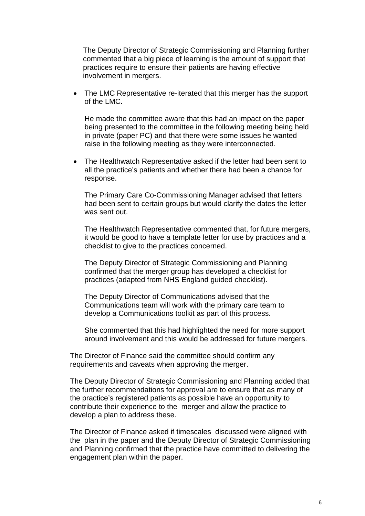The Deputy Director of Strategic Commissioning and Planning further commented that a big piece of learning is the amount of support that practices require to ensure their patients are having effective involvement in mergers.

• The LMC Representative re-iterated that this merger has the support of the LMC.

He made the committee aware that this had an impact on the paper being presented to the committee in the following meeting being held in private (paper PC) and that there were some issues he wanted raise in the following meeting as they were interconnected.

• The Healthwatch Representative asked if the letter had been sent to all the practice's patients and whether there had been a chance for response.

The Primary Care Co-Commissioning Manager advised that letters had been sent to certain groups but would clarify the dates the letter was sent out.

The Healthwatch Representative commented that, for future mergers, it would be good to have a template letter for use by practices and a checklist to give to the practices concerned.

The Deputy Director of Strategic Commissioning and Planning confirmed that the merger group has developed a checklist for practices (adapted from NHS England guided checklist).

The Deputy Director of Communications advised that the Communications team will work with the primary care team to develop a Communications toolkit as part of this process.

She commented that this had highlighted the need for more support around involvement and this would be addressed for future mergers.

The Director of Finance said the committee should confirm any requirements and caveats when approving the merger.

The Deputy Director of Strategic Commissioning and Planning added that the further recommendations for approval are to ensure that as many of the practice's registered patients as possible have an opportunity to contribute their experience to the merger and allow the practice to develop a plan to address these.

The Director of Finance asked if timescales discussed were aligned with the plan in the paper and the Deputy Director of Strategic Commissioning and Planning confirmed that the practice have committed to delivering the engagement plan within the paper.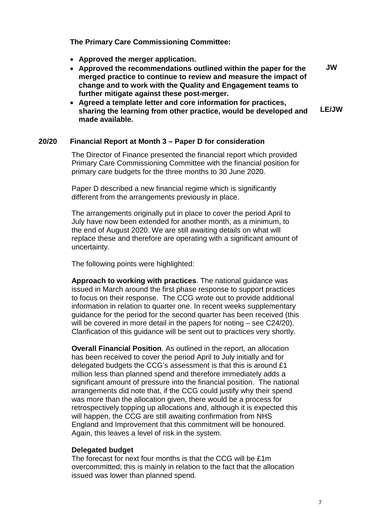**The Primary Care Commissioning Committee:**

- **Approved the merger application.**
- **Approved the recommendations outlined within the paper for the merged practice to continue to review and measure the impact of change and to work with the Quality and Engagement teams to further mitigate against these post-merger. JW**
- **Agreed a template letter and core information for practices, sharing the learning from other practice, would be developed and made available. LE/JW**

### **20/20 Financial Report at Month 3 – Paper D for consideration**

The Director of Finance presented the financial report which provided Primary Care Commissioning Committee with the financial position for primary care budgets for the three months to 30 June 2020.

Paper D described a new financial regime which is significantly different from the arrangements previously in place.

The arrangements originally put in place to cover the period April to July have now been extended for another month, as a minimum, to the end of August 2020. We are still awaiting details on what will replace these and therefore are operating with a significant amount of uncertainty.

The following points were highlighted:

**Approach to working with practices**. The national guidance was issued in March around the first phase response to support practices to focus on their response. The CCG wrote out to provide additional information in relation to quarter one. In recent weeks supplementary guidance for the period for the second quarter has been received (this will be covered in more detail in the papers for noting – see C24/20). Clarification of this guidance will be sent out to practices very shortly.

**Overall Financial Position**. As outlined in the report, an allocation has been received to cover the period April to July initially and for delegated budgets the CCG's assessment is that this is around £1 million less than planned spend and therefore immediately adds a significant amount of pressure into the financial position. The national arrangements did note that, if the CCG could justify why their spend was more than the allocation given, there would be a process for retrospectively topping up allocations and, although it is expected this will happen, the CCG are still awaiting confirmation from NHS England and Improvement that this commitment will be honoured. Again, this leaves a level of risk in the system.

# **Delegated budget**

The forecast for next four months is that the CCG will be £1m overcommitted; this is mainly in relation to the fact that the allocation issued was lower than planned spend.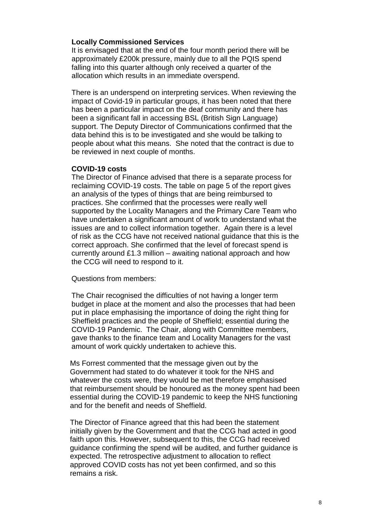#### **Locally Commissioned Services**

It is envisaged that at the end of the four month period there will be approximately £200k pressure, mainly due to all the PQIS spend falling into this quarter although only received a quarter of the allocation which results in an immediate overspend.

There is an underspend on interpreting services. When reviewing the impact of Covid-19 in particular groups, it has been noted that there has been a particular impact on the deaf community and there has been a significant fall in accessing BSL (British Sign Language) support. The Deputy Director of Communications confirmed that the data behind this is to be investigated and she would be talking to people about what this means. She noted that the contract is due to be reviewed in next couple of months.

#### **COVID-19 costs**

The Director of Finance advised that there is a separate process for reclaiming COVID-19 costs. The table on page 5 of the report gives an analysis of the types of things that are being reimbursed to practices. She confirmed that the processes were really well supported by the Locality Managers and the Primary Care Team who have undertaken a significant amount of work to understand what the issues are and to collect information together. Again there is a level of risk as the CCG have not received national guidance that this is the correct approach. She confirmed that the level of forecast spend is currently around £1.3 million – awaiting national approach and how the CCG will need to respond to it.

Questions from members:

The Chair recognised the difficulties of not having a longer term budget in place at the moment and also the processes that had been put in place emphasising the importance of doing the right thing for Sheffield practices and the people of Sheffield; essential during the COVID-19 Pandemic. The Chair, along with Committee members, gave thanks to the finance team and Locality Managers for the vast amount of work quickly undertaken to achieve this.

Ms Forrest commented that the message given out by the Government had stated to do whatever it took for the NHS and whatever the costs were, they would be met therefore emphasised that reimbursement should be honoured as the money spent had been essential during the COVID-19 pandemic to keep the NHS functioning and for the benefit and needs of Sheffield.

The Director of Finance agreed that this had been the statement initially given by the Government and that the CCG had acted in good faith upon this. However, subsequent to this, the CCG had received guidance confirming the spend will be audited, and further guidance is expected. The retrospective adjustment to allocation to reflect approved COVID costs has not yet been confirmed, and so this remains a risk.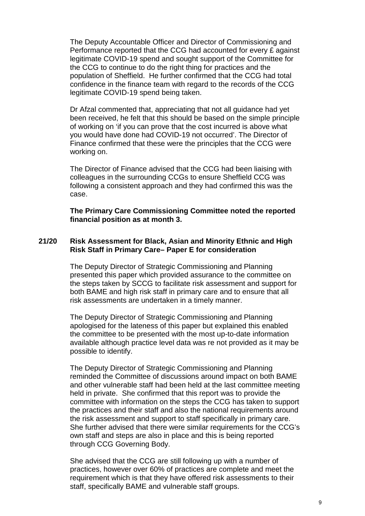The Deputy Accountable Officer and Director of Commissioning and Performance reported that the CCG had accounted for every £ against legitimate COVID-19 spend and sought support of the Committee for the CCG to continue to do the right thing for practices and the population of Sheffield. He further confirmed that the CCG had total confidence in the finance team with regard to the records of the CCG legitimate COVID-19 spend being taken.

Dr Afzal commented that, appreciating that not all guidance had yet been received, he felt that this should be based on the simple principle of working on 'if you can prove that the cost incurred is above what you would have done had COVID-19 not occurred'. The Director of Finance confirmed that these were the principles that the CCG were working on.

The Director of Finance advised that the CCG had been liaising with colleagues in the surrounding CCGs to ensure Sheffield CCG was following a consistent approach and they had confirmed this was the case.

**The Primary Care Commissioning Committee noted the reported financial position as at month 3.**

# **21/20 Risk Assessment for Black, Asian and Minority Ethnic and High Risk Staff in Primary Care– Paper E for consideration**

The Deputy Director of Strategic Commissioning and Planning presented this paper which provided assurance to the committee on the steps taken by SCCG to facilitate risk assessment and support for both BAME and high risk staff in primary care and to ensure that all risk assessments are undertaken in a timely manner.

The Deputy Director of Strategic Commissioning and Planning apologised for the lateness of this paper but explained this enabled the committee to be presented with the most up-to-date information available although practice level data was re not provided as it may be possible to identify.

The Deputy Director of Strategic Commissioning and Planning reminded the Committee of discussions around impact on both BAME and other vulnerable staff had been held at the last committee meeting held in private. She confirmed that this report was to provide the committee with information on the steps the CCG has taken to support the practices and their staff and also the national requirements around the risk assessment and support to staff specifically in primary care. She further advised that there were similar requirements for the CCG's own staff and steps are also in place and this is being reported through CCG Governing Body.

She advised that the CCG are still following up with a number of practices, however over 60% of practices are complete and meet the requirement which is that they have offered risk assessments to their staff, specifically BAME and vulnerable staff groups.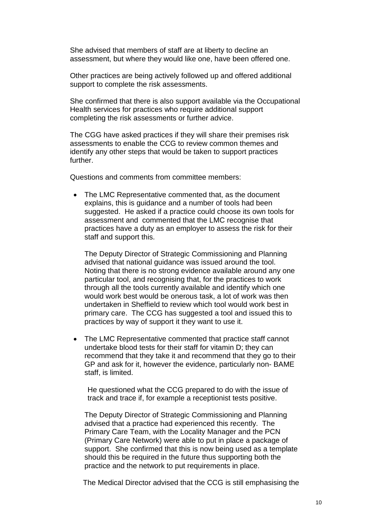She advised that members of staff are at liberty to decline an assessment, but where they would like one, have been offered one.

Other practices are being actively followed up and offered additional support to complete the risk assessments.

She confirmed that there is also support available via the Occupational Health services for practices who require additional support completing the risk assessments or further advice.

The CGG have asked practices if they will share their premises risk assessments to enable the CCG to review common themes and identify any other steps that would be taken to support practices further.

Questions and comments from committee members:

• The LMC Representative commented that, as the document explains, this is guidance and a number of tools had been suggested. He asked if a practice could choose its own tools for assessment and commented that the LMC recognise that practices have a duty as an employer to assess the risk for their staff and support this.

The Deputy Director of Strategic Commissioning and Planning advised that national guidance was issued around the tool. Noting that there is no strong evidence available around any one particular tool, and recognising that, for the practices to work through all the tools currently available and identify which one would work best would be onerous task, a lot of work was then undertaken in Sheffield to review which tool would work best in primary care. The CCG has suggested a tool and issued this to practices by way of support it they want to use it.

• The LMC Representative commented that practice staff cannot undertake blood tests for their staff for vitamin D; they can recommend that they take it and recommend that they go to their GP and ask for it, however the evidence, particularly non- BAME staff, is limited.

He questioned what the CCG prepared to do with the issue of track and trace if, for example a receptionist tests positive.

The Deputy Director of Strategic Commissioning and Planning advised that a practice had experienced this recently. The Primary Care Team, with the Locality Manager and the PCN (Primary Care Network) were able to put in place a package of support. She confirmed that this is now being used as a template should this be required in the future thus supporting both the practice and the network to put requirements in place.

The Medical Director advised that the CCG is still emphasising the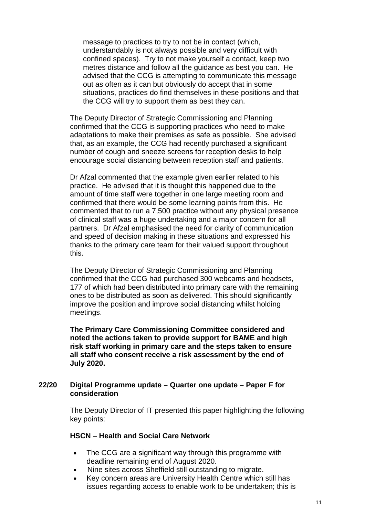message to practices to try to not be in contact (which, understandably is not always possible and very difficult with confined spaces). Try to not make yourself a contact, keep two metres distance and follow all the guidance as best you can. He advised that the CCG is attempting to communicate this message out as often as it can but obviously do accept that in some situations, practices do find themselves in these positions and that the CCG will try to support them as best they can.

The Deputy Director of Strategic Commissioning and Planning confirmed that the CCG is supporting practices who need to make adaptations to make their premises as safe as possible. She advised that, as an example, the CCG had recently purchased a significant number of cough and sneeze screens for reception desks to help encourage social distancing between reception staff and patients.

Dr Afzal commented that the example given earlier related to his practice. He advised that it is thought this happened due to the amount of time staff were together in one large meeting room and confirmed that there would be some learning points from this. He commented that to run a 7,500 practice without any physical presence of clinical staff was a huge undertaking and a major concern for all partners. Dr Afzal emphasised the need for clarity of communication and speed of decision making in these situations and expressed his thanks to the primary care team for their valued support throughout this.

The Deputy Director of Strategic Commissioning and Planning confirmed that the CCG had purchased 300 webcams and headsets, 177 of which had been distributed into primary care with the remaining ones to be distributed as soon as delivered. This should significantly improve the position and improve social distancing whilst holding meetings.

**The Primary Care Commissioning Committee considered and noted the actions taken to provide support for BAME and high risk staff working in primary care and the steps taken to ensure all staff who consent receive a risk assessment by the end of July 2020.**

#### **22/20 Digital Programme update – Quarter one update – Paper F for consideration**

The Deputy Director of IT presented this paper highlighting the following key points:

# **HSCN – Health and Social Care Network**

- The CCG are a significant way through this programme with deadline remaining end of August 2020.
- Nine sites across Sheffield still outstanding to migrate.
- Key concern areas are University Health Centre which still has issues regarding access to enable work to be undertaken; this is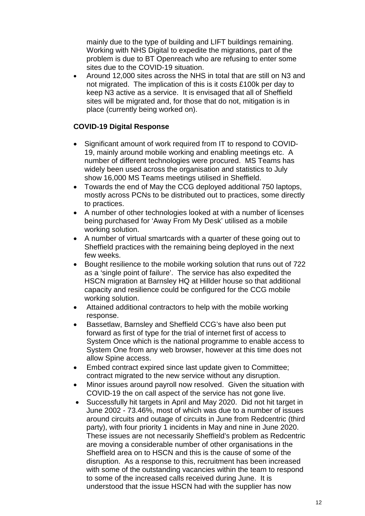mainly due to the type of building and LIFT buildings remaining. Working with NHS Digital to expedite the migrations, part of the problem is due to BT Openreach who are refusing to enter some sites due to the COVID-19 situation.

• Around 12,000 sites across the NHS in total that are still on N3 and not migrated. The implication of this is it costs £100k per day to keep N3 active as a service. It is envisaged that all of Sheffield sites will be migrated and, for those that do not, mitigation is in place (currently being worked on).

# **COVID-19 Digital Response**

- Significant amount of work required from IT to respond to COVID-19, mainly around mobile working and enabling meetings etc. A number of different technologies were procured. MS Teams has widely been used across the organisation and statistics to July show 16,000 MS Teams meetings utilised in Sheffield.
- Towards the end of May the CCG deployed additional 750 laptops, mostly across PCNs to be distributed out to practices, some directly to practices.
- A number of other technologies looked at with a number of licenses being purchased for 'Away From My Desk' utilised as a mobile working solution.
- A number of virtual smartcards with a quarter of these going out to Sheffield practices with the remaining being deployed in the next few weeks.
- Bought resilience to the mobile working solution that runs out of 722 as a 'single point of failure'. The service has also expedited the HSCN migration at Barnsley HQ at Hillder house so that additional capacity and resilience could be configured for the CCG mobile working solution.
- Attained additional contractors to help with the mobile working response.
- Bassetlaw, Barnsley and Sheffield CCG's have also been put forward as first of type for the trial of internet first of access to System Once which is the national programme to enable access to System One from any web browser, however at this time does not allow Spine access.
- Embed contract expired since last update given to Committee; contract migrated to the new service without any disruption.
- Minor issues around payroll now resolved. Given the situation with COVID-19 the on call aspect of the service has not gone live.
- Successfully hit targets in April and May 2020. Did not hit target in June 2002 - 73.46%, most of which was due to a number of issues around circuits and outage of circuits in June from Redcentric (third party), with four priority 1 incidents in May and nine in June 2020. These issues are not necessarily Sheffield's problem as Redcentric are moving a considerable number of other organisations in the Sheffield area on to HSCN and this is the cause of some of the disruption. As a response to this, recruitment has been increased with some of the outstanding vacancies within the team to respond to some of the increased calls received during June. It is understood that the issue HSCN had with the supplier has now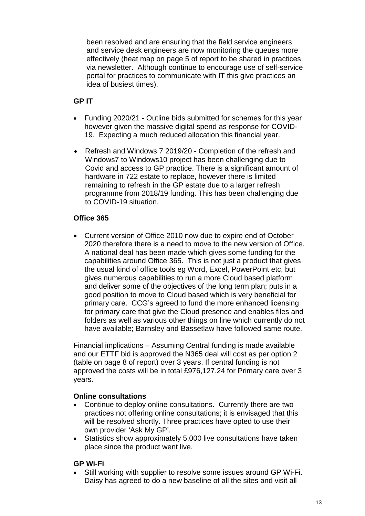been resolved and are ensuring that the field service engineers and service desk engineers are now monitoring the queues more effectively (heat map on page 5 of report to be shared in practices via newsletter. Although continue to encourage use of self-service portal for practices to communicate with IT this give practices an idea of busiest times).

# **GP IT**

- Funding 2020/21 Outline bids submitted for schemes for this year however given the massive digital spend as response for COVID-19. Expecting a much reduced allocation this financial year.
- Refresh and Windows 7 2019/20 Completion of the refresh and Windows7 to Windows10 project has been challenging due to Covid and access to GP practice. There is a significant amount of hardware in 722 estate to replace, however there is limited remaining to refresh in the GP estate due to a larger refresh programme from 2018/19 funding. This has been challenging due to COVID-19 situation.

# **Office 365**

• Current version of Office 2010 now due to expire end of October 2020 therefore there is a need to move to the new version of Office. A national deal has been made which gives some funding for the capabilities around Office 365. This is not just a product that gives the usual kind of office tools eg Word, Excel, PowerPoint etc, but gives numerous capabilities to run a more Cloud based platform and deliver some of the objectives of the long term plan; puts in a good position to move to Cloud based which is very beneficial for primary care. CCG's agreed to fund the more enhanced licensing for primary care that give the Cloud presence and enables files and folders as well as various other things on line which currently do not have available; Barnsley and Bassetlaw have followed same route.

Financial implications – Assuming Central funding is made available and our ETTF bid is approved the N365 deal will cost as per option 2 (table on page 8 of report) over 3 years. If central funding is not approved the costs will be in total £976,127.24 for Primary care over 3 years.

# **Online consultations**

- Continue to deploy online consultations. Currently there are two practices not offering online consultations; it is envisaged that this will be resolved shortly. Three practices have opted to use their own provider 'Ask My GP'.
- Statistics show approximately 5,000 live consultations have taken place since the product went live.

# **GP Wi-Fi**

• Still working with supplier to resolve some issues around GP Wi-Fi. Daisy has agreed to do a new baseline of all the sites and visit all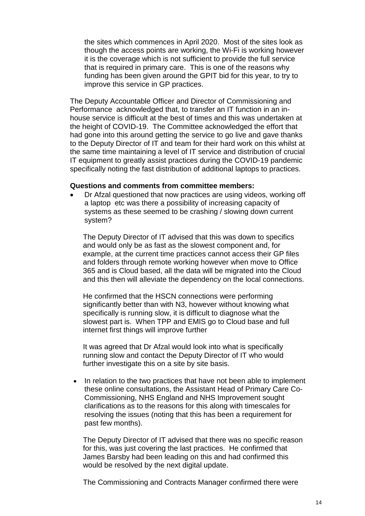the sites which commences in April 2020. Most of the sites look as though the access points are working, the Wi-Fi is working however it is the coverage which is not sufficient to provide the full service that is required in primary care. This is one of the reasons why funding has been given around the GPIT bid for this year, to try to improve this service in GP practices.

The Deputy Accountable Officer and Director of Commissioning and Performance acknowledged that, to transfer an IT function in an inhouse service is difficult at the best of times and this was undertaken at the height of COVID-19. The Committee acknowledged the effort that had gone into this around getting the service to go live and gave thanks to the Deputy Director of IT and team for their hard work on this whilst at the same time maintaining a level of IT service and distribution of crucial IT equipment to greatly assist practices during the COVID-19 pandemic specifically noting the fast distribution of additional laptops to practices.

#### **Questions and comments from committee members:**

• Dr Afzal questioned that now practices are using videos, working off a laptop etc was there a possibility of increasing capacity of systems as these seemed to be crashing / slowing down current system?

The Deputy Director of IT advised that this was down to specifics and would only be as fast as the slowest component and, for example, at the current time practices cannot access their GP files and folders through remote working however when move to Office 365 and is Cloud based, all the data will be migrated into the Cloud and this then will alleviate the dependency on the local connections.

He confirmed that the HSCN connections were performing significantly better than with N3, however without knowing what specifically is running slow, it is difficult to diagnose what the slowest part is. When TPP and EMIS go to Cloud base and full internet first things will improve further

It was agreed that Dr Afzal would look into what is specifically running slow and contact the Deputy Director of IT who would further investigate this on a site by site basis.

• In relation to the two practices that have not been able to implement these online consultations, the Assistant Head of Primary Care Co-Commissioning, NHS England and NHS Improvement sought clarifications as to the reasons for this along with timescales for resolving the issues (noting that this has been a requirement for past few months).

The Deputy Director of IT advised that there was no specific reason for this, was just covering the last practices. He confirmed that James Barsby had been leading on this and had confirmed this would be resolved by the next digital update.

The Commissioning and Contracts Manager confirmed there were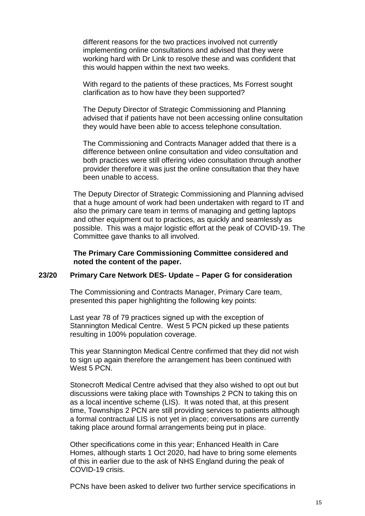different reasons for the two practices involved not currently implementing online consultations and advised that they were working hard with Dr Link to resolve these and was confident that this would happen within the next two weeks.

With regard to the patients of these practices. Ms Forrest sought clarification as to how have they been supported?

The Deputy Director of Strategic Commissioning and Planning advised that if patients have not been accessing online consultation they would have been able to access telephone consultation.

The Commissioning and Contracts Manager added that there is a difference between online consultation and video consultation and both practices were still offering video consultation through another provider therefore it was just the online consultation that they have been unable to access.

The Deputy Director of Strategic Commissioning and Planning advised that a huge amount of work had been undertaken with regard to IT and also the primary care team in terms of managing and getting laptops and other equipment out to practices, as quickly and seamlessly as possible. This was a major logistic effort at the peak of COVID-19. The Committee gave thanks to all involved.

**The Primary Care Commissioning Committee considered and noted the content of the paper.** 

#### **23/20 Primary Care Network DES- Update – Paper G for consideration**

The Commissioning and Contracts Manager, Primary Care team, presented this paper highlighting the following key points:

Last year 78 of 79 practices signed up with the exception of Stannington Medical Centre. West 5 PCN picked up these patients resulting in 100% population coverage.

This year Stannington Medical Centre confirmed that they did not wish to sign up again therefore the arrangement has been continued with West 5 PCN.

Stonecroft Medical Centre advised that they also wished to opt out but discussions were taking place with Townships 2 PCN to taking this on as a local incentive scheme (LIS). It was noted that, at this present time, Townships 2 PCN are still providing services to patients although a formal contractual LIS is not yet in place; conversations are currently taking place around formal arrangements being put in place.

Other specifications come in this year; Enhanced Health in Care Homes, although starts 1 Oct 2020, had have to bring some elements of this in earlier due to the ask of NHS England during the peak of COVID-19 crisis.

PCNs have been asked to deliver two further service specifications in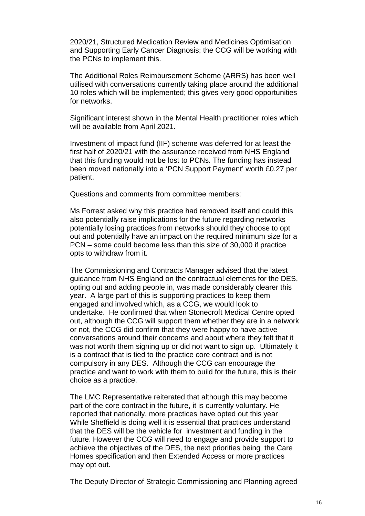2020/21, Structured Medication Review and Medicines Optimisation and Supporting Early Cancer Diagnosis; the CCG will be working with the PCNs to implement this.

The Additional Roles Reimbursement Scheme (ARRS) has been well utilised with conversations currently taking place around the additional 10 roles which will be implemented; this gives very good opportunities for networks.

Significant interest shown in the Mental Health practitioner roles which will be available from April 2021.

Investment of impact fund (IIF) scheme was deferred for at least the first half of 2020/21 with the assurance received from NHS England that this funding would not be lost to PCNs. The funding has instead been moved nationally into a 'PCN Support Payment' worth £0.27 per patient.

Questions and comments from committee members:

Ms Forrest asked why this practice had removed itself and could this also potentially raise implications for the future regarding networks potentially losing practices from networks should they choose to opt out and potentially have an impact on the required minimum size for a PCN – some could become less than this size of 30,000 if practice opts to withdraw from it.

The Commissioning and Contracts Manager advised that the latest guidance from NHS England on the contractual elements for the DES, opting out and adding people in, was made considerably clearer this year. A large part of this is supporting practices to keep them engaged and involved which, as a CCG, we would look to undertake. He confirmed that when Stonecroft Medical Centre opted out, although the CCG will support them whether they are in a network or not, the CCG did confirm that they were happy to have active conversations around their concerns and about where they felt that it was not worth them signing up or did not want to sign up. Ultimately it is a contract that is tied to the practice core contract and is not compulsory in any DES. Although the CCG can encourage the practice and want to work with them to build for the future, this is their choice as a practice.

The LMC Representative reiterated that although this may become part of the core contract in the future, it is currently voluntary. He reported that nationally, more practices have opted out this year While Sheffield is doing well it is essential that practices understand that the DES will be the vehicle for investment and funding in the future. However the CCG will need to engage and provide support to achieve the objectives of the DES, the next priorities being the Care Homes specification and then Extended Access or more practices may opt out.

The Deputy Director of Strategic Commissioning and Planning agreed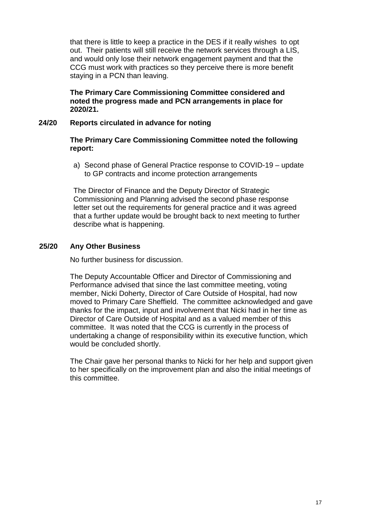that there is little to keep a practice in the DES if it really wishes to opt out. Their patients will still receive the network services through a LIS, and would only lose their network engagement payment and that the CCG must work with practices so they perceive there is more benefit staying in a PCN than leaving.

**The Primary Care Commissioning Committee considered and noted the progress made and PCN arrangements in place for 2020/21.**

# **24/20 Reports circulated in advance for noting**

### **The Primary Care Commissioning Committee noted the following report:**

a) Second phase of General Practice response to COVID-19 – update to GP contracts and income protection arrangements

The Director of Finance and the Deputy Director of Strategic Commissioning and Planning advised the second phase response letter set out the requirements for general practice and it was agreed that a further update would be brought back to next meeting to further describe what is happening.

# **25/20 Any Other Business**

No further business for discussion.

The Deputy Accountable Officer and Director of Commissioning and Performance advised that since the last committee meeting, voting member, Nicki Doherty, Director of Care Outside of Hospital, had now moved to Primary Care Sheffield. The committee acknowledged and gave thanks for the impact, input and involvement that Nicki had in her time as Director of Care Outside of Hospital and as a valued member of this committee. It was noted that the CCG is currently in the process of undertaking a change of responsibility within its executive function, which would be concluded shortly.

The Chair gave her personal thanks to Nicki for her help and support given to her specifically on the improvement plan and also the initial meetings of this committee.